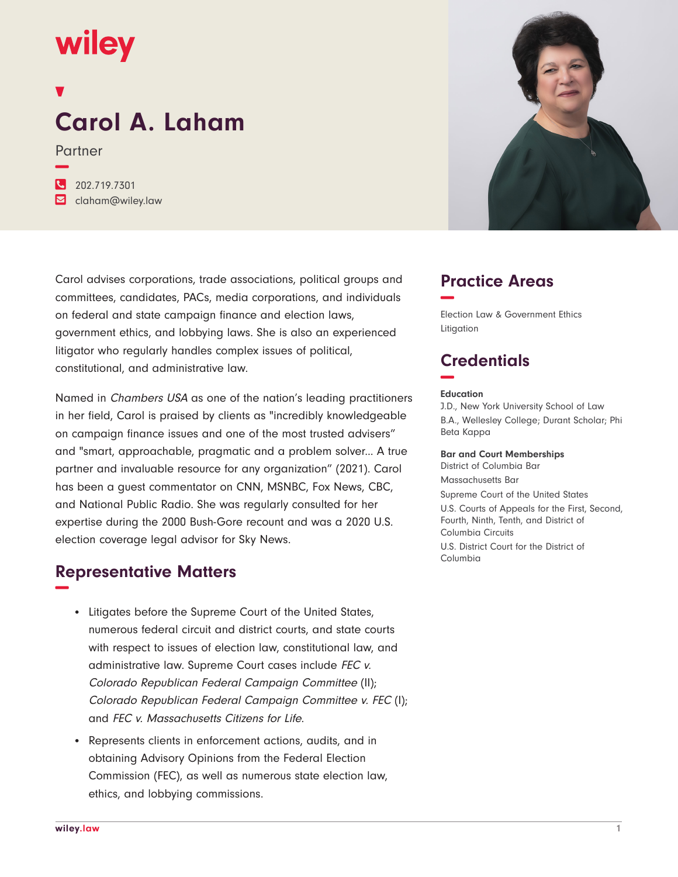## wiley

# **Carol A. Laham**

Partner

**−**

| 202.719.7301                      |
|-----------------------------------|
| $\triangleright$ claham@wiley.law |

Carol advises corporations, trade associations, political groups and committees, candidates, PACs, media corporations, and individuals on federal and state campaign finance and election laws, government ethics, and lobbying laws. She is also an experienced litigator who regularly handles complex issues of political, constitutional, and administrative law.

Named in Chambers USA as one of the nation's leading practitioners in her field, Carol is praised by clients as "incredibly knowledgeable on campaign finance issues and one of the most trusted advisers" and "smart, approachable, pragmatic and a problem solver... A true partner and invaluable resource for any organization" (2021). Carol has been a guest commentator on CNN, MSNBC, Fox News, CBC, and National Public Radio. She was regularly consulted for her expertise during the 2000 Bush-Gore recount and was a 2020 U.S. election coverage legal advisor for Sky News.

## **Representative Matters −**

- Litigates before the Supreme Court of the United States, numerous federal circuit and district courts, and state courts with respect to issues of election law, constitutional law, and administrative law. Supreme Court cases include FEC v. Colorado Republican Federal Campaign Committee (II); Colorado Republican Federal Campaign Committee v. FEC (I); and FEC v. Massachusetts Citizens for Life.
- Represents clients in enforcement actions, audits, and in obtaining Advisory Opinions from the Federal Election Commission (FEC), as well as numerous state election law, ethics, and lobbying commissions.



## **Practice Areas −**

Election Law & Government Ethics Litigation

## **Credentials −**

#### **Education**

J.D., New York University School of Law B.A., Wellesley College; Durant Scholar; Phi Beta Kappa

#### **Bar and Court Memberships**

District of Columbia Bar Massachusetts Bar Supreme Court of the United States U.S. Courts of Appeals for the First, Second, Fourth, Ninth, Tenth, and District of Columbia Circuits U.S. District Court for the District of Columbia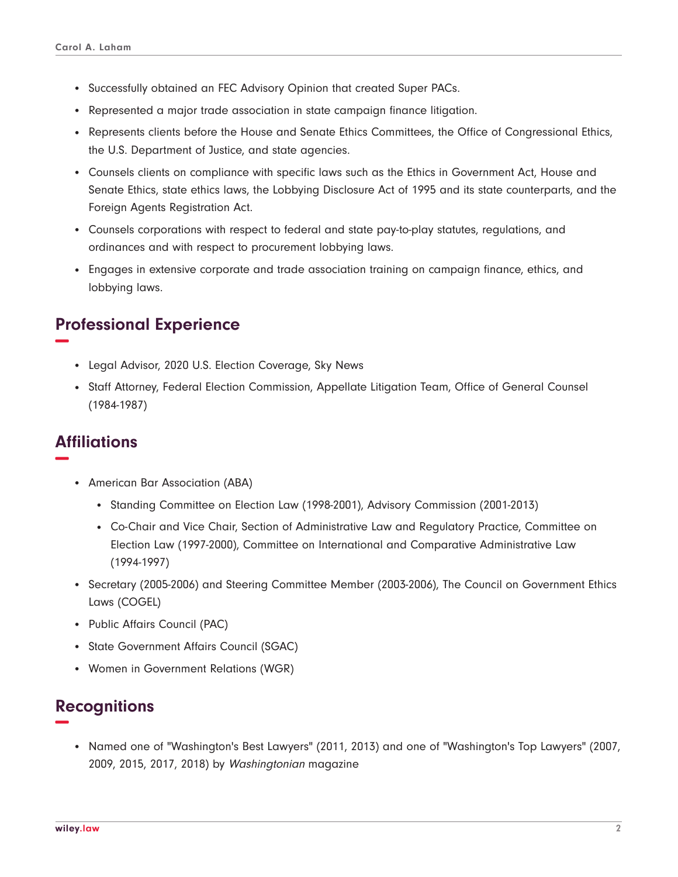- Successfully obtained an FEC Advisory Opinion that created Super PACs.
- Represented a major trade association in state campaign finance litigation.
- Represents clients before the House and Senate Ethics Committees, the Office of Congressional Ethics, the U.S. Department of Justice, and state agencies.
- Counsels clients on compliance with specific laws such as the Ethics in Government Act, House and Senate Ethics, state ethics laws, the Lobbying Disclosure Act of 1995 and its state counterparts, and the Foreign Agents Registration Act.
- Counsels corporations with respect to federal and state pay-to-play statutes, regulations, and ordinances and with respect to procurement lobbying laws.
- Engages in extensive corporate and trade association training on campaign finance, ethics, and lobbying laws.

## **Professional Experience −**

- Legal Advisor, 2020 U.S. Election Coverage, Sky News
- Staff Attorney, Federal Election Commission, Appellate Litigation Team, Office of General Counsel (1984-1987)

## **Affiliations −**

- American Bar Association (ABA)
	- Standing Committee on Election Law (1998-2001), Advisory Commission (2001-2013)
	- Co-Chair and Vice Chair, Section of Administrative Law and Regulatory Practice, Committee on Election Law (1997-2000), Committee on International and Comparative Administrative Law (1994-1997)
- Secretary (2005-2006) and Steering Committee Member (2003-2006), The Council on Government Ethics Laws (COGEL)
- Public Affairs Council (PAC)
- State Government Affairs Council (SGAC)
- Women in Government Relations (WGR)

### **Recognitions −**

● Named one of "Washington's Best Lawyers" (2011, 2013) and one of "Washington's Top Lawyers" (2007, 2009, 2015, 2017, 2018) by Washingtonian magazine